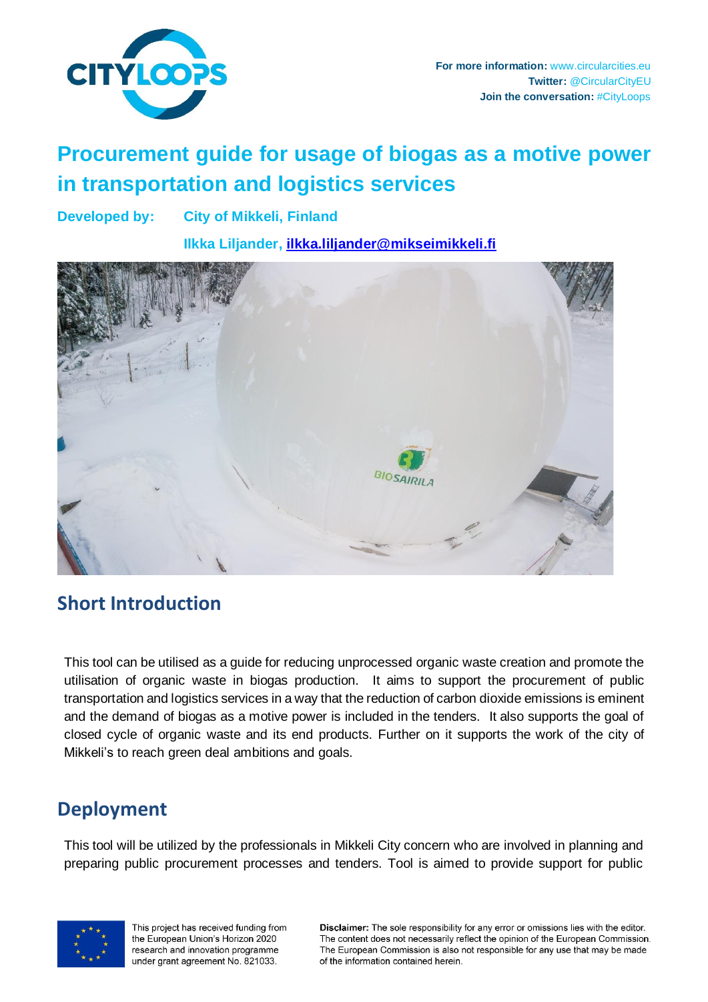

# **Procurement guide for usage of biogas as a motive power in transportation and logistics services**

**Developed by: City of Mikkeli, Finland**

**Ilkka Liljander, [ilkka.liljander@mikseimikkeli.fi](mailto:ilkka.liljander@mikseimikkeli.fi)**



### **Short Introduction**

This tool can be utilised as a guide for reducing unprocessed organic waste creation and promote the utilisation of organic waste in biogas production. It aims to support the procurement of public transportation and logistics services in a way that the reduction of carbon dioxide emissions is eminent and the demand of biogas as a motive power is included in the tenders. It also supports the goal of closed cycle of organic waste and its end products. Further on it supports the work of the city of Mikkeli's to reach green deal ambitions and goals.

## **Deployment**

This tool will be utilized by the professionals in Mikkeli City concern who are involved in planning and preparing public procurement processes and tenders. Tool is aimed to provide support for public



This project has received funding from the European Union's Horizon 2020 research and innovation programme under grant agreement No. 821033.

Disclaimer: The sole responsibility for any error or omissions lies with the editor. The content does not necessarily reflect the opinion of the European Commission. The European Commission is also not responsible for any use that may be made of the information contained herein.